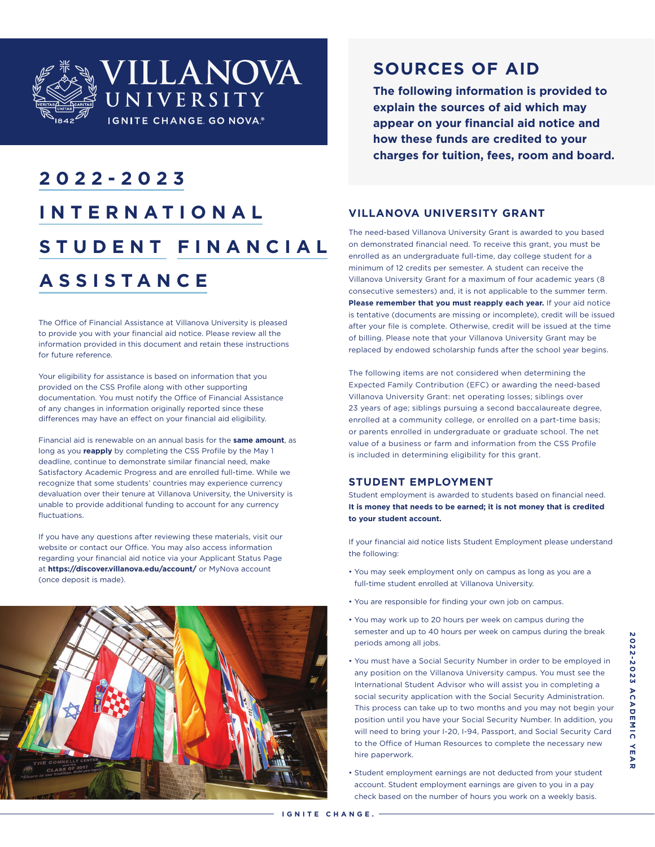

# **2022-2023 INTERNATIONAL STUDENT FINANCIAL ASSISTANCE**

The Office of Financial Assistance at Villanova University is pleased to provide you with your financial aid notice. Please review all the information provided in this document and retain these instructions for future reference.

Your eligibility for assistance is based on information that you provided on the CSS Profile along with other supporting documentation. You must notify the Office of Financial Assistance of any changes in information originally reported since these differences may have an effect on your financial aid eligibility.

Financial aid is renewable on an annual basis for the **same amount**, as long as you **reapply** by completing the CSS Profile by the May 1 deadline, continue to demonstrate similar financial need, make Satisfactory Academic Progress and are enrolled full-time. While we recognize that some students' countries may experience currency devaluation over their tenure at Villanova University, the University is unable to provide additional funding to account for any currency **fluctuations** 

If you have any questions after reviewing these materials, visit our website or contact our Office. You may also access information regarding your financial aid notice via your Applicant Status Page at **https://discover.villanova.edu/account/** or MyNova account (once deposit is made).



## **SOURCES OF AID**

**The following information is provided to explain the sources of aid which may appear on your financial aid notice and how these funds are credited to your charges for tuition, fees, room and board.**

## **VILLANOVA UNIVERSITY GRANT**

The need-based Villanova University Grant is awarded to you based on demonstrated financial need. To receive this grant, you must be enrolled as an undergraduate full-time, day college student for a minimum of 12 credits per semester. A student can receive the Villanova University Grant for a maximum of four academic years (8 consecutive semesters) and, it is not applicable to the summer term. **Please remember that you must reapply each year.** If your aid notice is tentative (documents are missing or incomplete), credit will be issued after your file is complete. Otherwise, credit will be issued at the time of billing. Please note that your Villanova University Grant may be replaced by endowed scholarship funds after the school year begins.

The following items are not considered when determining the Expected Family Contribution (EFC) or awarding the need-based Villanova University Grant: net operating losses; siblings over 23 years of age; siblings pursuing a second baccalaureate degree, enrolled at a community college, or enrolled on a part-time basis; or parents enrolled in undergraduate or graduate school. The net value of a business or farm and information from the CSS Profile is included in determining eligibility for this grant.

### **STUDENT EMPLOYMENT**

Student employment is awarded to students based on financial need. **It is money that needs to be earned; it is not money that is credited to your student account.**

If your financial aid notice lists Student Employment please understand the following:

- You may seek employment only on campus as long as you are a full-time student enrolled at Villanova University.
- You are responsible for finding your own job on campus.
- You may work up to 20 hours per week on campus during the semester and up to 40 hours per week on campus during the break periods among all jobs.
- You must have a Social Security Number in order to be employed in any position on the Villanova University campus. You must see the International Student Advisor who will assist you in completing a social security application with the Social Security Administration. This process can take up to two months and you may not begin your position until you have your Social Security Number. In addition, you will need to bring your I-20, I-94, Passport, and Social Security Card to the Office of Human Resources to complete the necessary new hire paperwork.
- Student employment earnings are not deducted from your student account. Student employment earnings are given to you in a pay check based on the number of hours you work on a weekly basis.